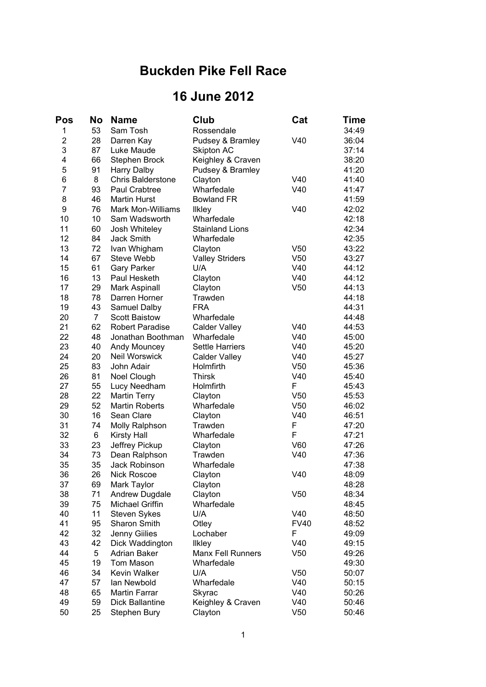## **Buckden Pike Fell Race**

## **16 June 2012**

| 53<br>Sam Tosh<br>1<br>Rossendale<br>$\overline{c}$<br>28<br>Darren Kay<br>Pudsey & Bramley<br>V40<br>3<br>87<br>Luke Maude<br>37:14<br>Skipton AC<br>4<br>66<br><b>Stephen Brock</b><br>Keighley & Craven<br>38:20<br>5<br>91<br><b>Harry Dalby</b><br>41:20<br>Pudsey & Bramley<br>6<br>8<br>V40<br><b>Chris Balderstone</b><br>Clayton<br>41:40<br>$\overline{7}$<br>93<br>Wharfedale<br>V40<br>Paul Crabtree<br>8<br>46<br><b>Martin Hurst</b><br><b>Bowland FR</b><br>41:59<br>9<br>76<br>Mark Mon-Williams<br>V40<br>42:02<br><b>Ilkley</b><br>10<br>10<br>Wharfedale<br>Sam Wadsworth<br>42:18<br>11<br>60<br>42:34<br>Josh Whiteley<br><b>Stainland Lions</b><br>12<br>84<br>Jack Smith<br>Wharfedale<br>42:35<br>13<br>72<br>Ivan Whigham<br>V <sub>50</sub><br>Clayton<br>14<br>67<br><b>Steve Webb</b><br><b>Valley Striders</b><br>V <sub>50</sub><br>15<br>61<br>V40<br><b>Gary Parker</b><br>U/A<br>16<br>13<br>V40<br>Clayton<br>Paul Hesketh<br>17<br>29<br>Mark Aspinall<br>Clayton<br>V <sub>50</sub><br>18<br>78<br>Darren Horner<br>Trawden<br>19<br>43<br>44:31<br>Samuel Dalby<br><b>FRA</b><br>20<br>Wharfedale<br>7<br><b>Scott Baistow</b><br>62<br>21<br>V40<br><b>Robert Paradise</b><br><b>Calder Valley</b><br>44:53<br>22<br>48<br>V40<br>Wharfedale<br>Jonathan Boothman<br>23<br>40<br>45:20<br>Andy Mouncey<br><b>Settle Harriers</b><br>V40<br><b>Neil Worswick</b><br>24<br>20<br>V40<br>45:27<br><b>Calder Valley</b><br>25<br>83<br>John Adair<br>Holmfirth<br>V <sub>50</sub><br>26<br>81<br>Noel Clough<br><b>Thirsk</b><br>V40<br>27<br>F<br>55<br>Lucy Needham<br>Holmfirth<br>45:43<br>28<br>22<br>V <sub>50</sub><br><b>Martin Terry</b><br>45:53<br>Clayton<br>29<br>52<br><b>Martin Roberts</b><br>Wharfedale<br>V <sub>50</sub><br>30<br>16<br>Sean Clare<br>V40<br>46:51<br>Clayton<br>31<br>F<br>74<br>47:20<br>Molly Ralphson<br>Trawden<br>F<br>32<br>6<br>Wharfedale<br>47:21<br><b>Kirsty Hall</b><br>33<br>23<br>V60<br>Jeffrey Pickup<br>Clayton<br>34<br>73<br>Trawden<br>V40<br>Dean Ralphson<br>35<br>35<br>Jack Robinson<br>Wharfedale<br>36<br>26<br><b>Nick Roscoe</b><br>V40<br>48:09<br>Clayton<br>37<br>69<br>Mark Taylor<br>Clayton<br>48:28<br>38<br>71<br>V <sub>50</sub><br>Andrew Dugdale<br>Clayton<br>39<br>75<br>Michael Griffin<br>Wharfedale<br>48:45<br>40<br>11<br><b>Steven Sykes</b><br>U/A<br>V40<br>48:50<br>41<br>95<br>Sharon Smith<br>48:52<br>Otley<br><b>FV40</b><br>42<br>32<br>Jenny Gillies<br>Lochaber<br>F<br>49:09<br>43<br>42<br>Dick Waddington<br>V40<br>49:15<br><b>Ilkley</b><br>44<br>5<br><b>Adrian Baker</b><br><b>Manx Fell Runners</b><br>V <sub>50</sub><br>49:26<br>19<br>45<br>Tom Mason<br>Wharfedale<br>49:30<br>46<br>34<br>Kevin Walker<br>U/A<br>V <sub>50</sub><br>50:07<br>47<br>Wharfedale<br>57<br>lan Newbold<br>V40<br>50:15<br>48<br>Martin Farrar<br>V40<br>50:26<br>65<br>Skyrac<br>49<br>59<br><b>Dick Ballantine</b><br>Keighley & Craven<br>V40<br>50:46<br>50<br>25<br>Clayton<br>V <sub>50</sub><br>Stephen Bury | Pos | No | <b>Name</b> | Club | Cat | Time  |
|--------------------------------------------------------------------------------------------------------------------------------------------------------------------------------------------------------------------------------------------------------------------------------------------------------------------------------------------------------------------------------------------------------------------------------------------------------------------------------------------------------------------------------------------------------------------------------------------------------------------------------------------------------------------------------------------------------------------------------------------------------------------------------------------------------------------------------------------------------------------------------------------------------------------------------------------------------------------------------------------------------------------------------------------------------------------------------------------------------------------------------------------------------------------------------------------------------------------------------------------------------------------------------------------------------------------------------------------------------------------------------------------------------------------------------------------------------------------------------------------------------------------------------------------------------------------------------------------------------------------------------------------------------------------------------------------------------------------------------------------------------------------------------------------------------------------------------------------------------------------------------------------------------------------------------------------------------------------------------------------------------------------------------------------------------------------------------------------------------------------------------------------------------------------------------------------------------------------------------------------------------------------------------------------------------------------------------------------------------------------------------------------------------------------------------------------------------------------------------------------------------------------------------------------------------------------------------------------------------------------------------------------------------------------------------------------------------------------------------------------------------------------------------------------------------------------------------------------------------------------------------------------------------------------------------------------------------------------------------------------------------------------------------------------|-----|----|-------------|------|-----|-------|
|                                                                                                                                                                                                                                                                                                                                                                                                                                                                                                                                                                                                                                                                                                                                                                                                                                                                                                                                                                                                                                                                                                                                                                                                                                                                                                                                                                                                                                                                                                                                                                                                                                                                                                                                                                                                                                                                                                                                                                                                                                                                                                                                                                                                                                                                                                                                                                                                                                                                                                                                                                                                                                                                                                                                                                                                                                                                                                                                                                                                                                            |     |    |             |      |     | 34:49 |
|                                                                                                                                                                                                                                                                                                                                                                                                                                                                                                                                                                                                                                                                                                                                                                                                                                                                                                                                                                                                                                                                                                                                                                                                                                                                                                                                                                                                                                                                                                                                                                                                                                                                                                                                                                                                                                                                                                                                                                                                                                                                                                                                                                                                                                                                                                                                                                                                                                                                                                                                                                                                                                                                                                                                                                                                                                                                                                                                                                                                                                            |     |    |             |      |     | 36:04 |
|                                                                                                                                                                                                                                                                                                                                                                                                                                                                                                                                                                                                                                                                                                                                                                                                                                                                                                                                                                                                                                                                                                                                                                                                                                                                                                                                                                                                                                                                                                                                                                                                                                                                                                                                                                                                                                                                                                                                                                                                                                                                                                                                                                                                                                                                                                                                                                                                                                                                                                                                                                                                                                                                                                                                                                                                                                                                                                                                                                                                                                            |     |    |             |      |     |       |
|                                                                                                                                                                                                                                                                                                                                                                                                                                                                                                                                                                                                                                                                                                                                                                                                                                                                                                                                                                                                                                                                                                                                                                                                                                                                                                                                                                                                                                                                                                                                                                                                                                                                                                                                                                                                                                                                                                                                                                                                                                                                                                                                                                                                                                                                                                                                                                                                                                                                                                                                                                                                                                                                                                                                                                                                                                                                                                                                                                                                                                            |     |    |             |      |     |       |
|                                                                                                                                                                                                                                                                                                                                                                                                                                                                                                                                                                                                                                                                                                                                                                                                                                                                                                                                                                                                                                                                                                                                                                                                                                                                                                                                                                                                                                                                                                                                                                                                                                                                                                                                                                                                                                                                                                                                                                                                                                                                                                                                                                                                                                                                                                                                                                                                                                                                                                                                                                                                                                                                                                                                                                                                                                                                                                                                                                                                                                            |     |    |             |      |     |       |
|                                                                                                                                                                                                                                                                                                                                                                                                                                                                                                                                                                                                                                                                                                                                                                                                                                                                                                                                                                                                                                                                                                                                                                                                                                                                                                                                                                                                                                                                                                                                                                                                                                                                                                                                                                                                                                                                                                                                                                                                                                                                                                                                                                                                                                                                                                                                                                                                                                                                                                                                                                                                                                                                                                                                                                                                                                                                                                                                                                                                                                            |     |    |             |      |     |       |
|                                                                                                                                                                                                                                                                                                                                                                                                                                                                                                                                                                                                                                                                                                                                                                                                                                                                                                                                                                                                                                                                                                                                                                                                                                                                                                                                                                                                                                                                                                                                                                                                                                                                                                                                                                                                                                                                                                                                                                                                                                                                                                                                                                                                                                                                                                                                                                                                                                                                                                                                                                                                                                                                                                                                                                                                                                                                                                                                                                                                                                            |     |    |             |      |     | 41:47 |
|                                                                                                                                                                                                                                                                                                                                                                                                                                                                                                                                                                                                                                                                                                                                                                                                                                                                                                                                                                                                                                                                                                                                                                                                                                                                                                                                                                                                                                                                                                                                                                                                                                                                                                                                                                                                                                                                                                                                                                                                                                                                                                                                                                                                                                                                                                                                                                                                                                                                                                                                                                                                                                                                                                                                                                                                                                                                                                                                                                                                                                            |     |    |             |      |     |       |
|                                                                                                                                                                                                                                                                                                                                                                                                                                                                                                                                                                                                                                                                                                                                                                                                                                                                                                                                                                                                                                                                                                                                                                                                                                                                                                                                                                                                                                                                                                                                                                                                                                                                                                                                                                                                                                                                                                                                                                                                                                                                                                                                                                                                                                                                                                                                                                                                                                                                                                                                                                                                                                                                                                                                                                                                                                                                                                                                                                                                                                            |     |    |             |      |     |       |
|                                                                                                                                                                                                                                                                                                                                                                                                                                                                                                                                                                                                                                                                                                                                                                                                                                                                                                                                                                                                                                                                                                                                                                                                                                                                                                                                                                                                                                                                                                                                                                                                                                                                                                                                                                                                                                                                                                                                                                                                                                                                                                                                                                                                                                                                                                                                                                                                                                                                                                                                                                                                                                                                                                                                                                                                                                                                                                                                                                                                                                            |     |    |             |      |     |       |
|                                                                                                                                                                                                                                                                                                                                                                                                                                                                                                                                                                                                                                                                                                                                                                                                                                                                                                                                                                                                                                                                                                                                                                                                                                                                                                                                                                                                                                                                                                                                                                                                                                                                                                                                                                                                                                                                                                                                                                                                                                                                                                                                                                                                                                                                                                                                                                                                                                                                                                                                                                                                                                                                                                                                                                                                                                                                                                                                                                                                                                            |     |    |             |      |     |       |
|                                                                                                                                                                                                                                                                                                                                                                                                                                                                                                                                                                                                                                                                                                                                                                                                                                                                                                                                                                                                                                                                                                                                                                                                                                                                                                                                                                                                                                                                                                                                                                                                                                                                                                                                                                                                                                                                                                                                                                                                                                                                                                                                                                                                                                                                                                                                                                                                                                                                                                                                                                                                                                                                                                                                                                                                                                                                                                                                                                                                                                            |     |    |             |      |     |       |
|                                                                                                                                                                                                                                                                                                                                                                                                                                                                                                                                                                                                                                                                                                                                                                                                                                                                                                                                                                                                                                                                                                                                                                                                                                                                                                                                                                                                                                                                                                                                                                                                                                                                                                                                                                                                                                                                                                                                                                                                                                                                                                                                                                                                                                                                                                                                                                                                                                                                                                                                                                                                                                                                                                                                                                                                                                                                                                                                                                                                                                            |     |    |             |      |     | 43:22 |
|                                                                                                                                                                                                                                                                                                                                                                                                                                                                                                                                                                                                                                                                                                                                                                                                                                                                                                                                                                                                                                                                                                                                                                                                                                                                                                                                                                                                                                                                                                                                                                                                                                                                                                                                                                                                                                                                                                                                                                                                                                                                                                                                                                                                                                                                                                                                                                                                                                                                                                                                                                                                                                                                                                                                                                                                                                                                                                                                                                                                                                            |     |    |             |      |     | 43:27 |
|                                                                                                                                                                                                                                                                                                                                                                                                                                                                                                                                                                                                                                                                                                                                                                                                                                                                                                                                                                                                                                                                                                                                                                                                                                                                                                                                                                                                                                                                                                                                                                                                                                                                                                                                                                                                                                                                                                                                                                                                                                                                                                                                                                                                                                                                                                                                                                                                                                                                                                                                                                                                                                                                                                                                                                                                                                                                                                                                                                                                                                            |     |    |             |      |     | 44:12 |
|                                                                                                                                                                                                                                                                                                                                                                                                                                                                                                                                                                                                                                                                                                                                                                                                                                                                                                                                                                                                                                                                                                                                                                                                                                                                                                                                                                                                                                                                                                                                                                                                                                                                                                                                                                                                                                                                                                                                                                                                                                                                                                                                                                                                                                                                                                                                                                                                                                                                                                                                                                                                                                                                                                                                                                                                                                                                                                                                                                                                                                            |     |    |             |      |     | 44:12 |
|                                                                                                                                                                                                                                                                                                                                                                                                                                                                                                                                                                                                                                                                                                                                                                                                                                                                                                                                                                                                                                                                                                                                                                                                                                                                                                                                                                                                                                                                                                                                                                                                                                                                                                                                                                                                                                                                                                                                                                                                                                                                                                                                                                                                                                                                                                                                                                                                                                                                                                                                                                                                                                                                                                                                                                                                                                                                                                                                                                                                                                            |     |    |             |      |     | 44:13 |
|                                                                                                                                                                                                                                                                                                                                                                                                                                                                                                                                                                                                                                                                                                                                                                                                                                                                                                                                                                                                                                                                                                                                                                                                                                                                                                                                                                                                                                                                                                                                                                                                                                                                                                                                                                                                                                                                                                                                                                                                                                                                                                                                                                                                                                                                                                                                                                                                                                                                                                                                                                                                                                                                                                                                                                                                                                                                                                                                                                                                                                            |     |    |             |      |     | 44:18 |
|                                                                                                                                                                                                                                                                                                                                                                                                                                                                                                                                                                                                                                                                                                                                                                                                                                                                                                                                                                                                                                                                                                                                                                                                                                                                                                                                                                                                                                                                                                                                                                                                                                                                                                                                                                                                                                                                                                                                                                                                                                                                                                                                                                                                                                                                                                                                                                                                                                                                                                                                                                                                                                                                                                                                                                                                                                                                                                                                                                                                                                            |     |    |             |      |     |       |
|                                                                                                                                                                                                                                                                                                                                                                                                                                                                                                                                                                                                                                                                                                                                                                                                                                                                                                                                                                                                                                                                                                                                                                                                                                                                                                                                                                                                                                                                                                                                                                                                                                                                                                                                                                                                                                                                                                                                                                                                                                                                                                                                                                                                                                                                                                                                                                                                                                                                                                                                                                                                                                                                                                                                                                                                                                                                                                                                                                                                                                            |     |    |             |      |     | 44:48 |
|                                                                                                                                                                                                                                                                                                                                                                                                                                                                                                                                                                                                                                                                                                                                                                                                                                                                                                                                                                                                                                                                                                                                                                                                                                                                                                                                                                                                                                                                                                                                                                                                                                                                                                                                                                                                                                                                                                                                                                                                                                                                                                                                                                                                                                                                                                                                                                                                                                                                                                                                                                                                                                                                                                                                                                                                                                                                                                                                                                                                                                            |     |    |             |      |     |       |
|                                                                                                                                                                                                                                                                                                                                                                                                                                                                                                                                                                                                                                                                                                                                                                                                                                                                                                                                                                                                                                                                                                                                                                                                                                                                                                                                                                                                                                                                                                                                                                                                                                                                                                                                                                                                                                                                                                                                                                                                                                                                                                                                                                                                                                                                                                                                                                                                                                                                                                                                                                                                                                                                                                                                                                                                                                                                                                                                                                                                                                            |     |    |             |      |     | 45:00 |
|                                                                                                                                                                                                                                                                                                                                                                                                                                                                                                                                                                                                                                                                                                                                                                                                                                                                                                                                                                                                                                                                                                                                                                                                                                                                                                                                                                                                                                                                                                                                                                                                                                                                                                                                                                                                                                                                                                                                                                                                                                                                                                                                                                                                                                                                                                                                                                                                                                                                                                                                                                                                                                                                                                                                                                                                                                                                                                                                                                                                                                            |     |    |             |      |     |       |
|                                                                                                                                                                                                                                                                                                                                                                                                                                                                                                                                                                                                                                                                                                                                                                                                                                                                                                                                                                                                                                                                                                                                                                                                                                                                                                                                                                                                                                                                                                                                                                                                                                                                                                                                                                                                                                                                                                                                                                                                                                                                                                                                                                                                                                                                                                                                                                                                                                                                                                                                                                                                                                                                                                                                                                                                                                                                                                                                                                                                                                            |     |    |             |      |     |       |
|                                                                                                                                                                                                                                                                                                                                                                                                                                                                                                                                                                                                                                                                                                                                                                                                                                                                                                                                                                                                                                                                                                                                                                                                                                                                                                                                                                                                                                                                                                                                                                                                                                                                                                                                                                                                                                                                                                                                                                                                                                                                                                                                                                                                                                                                                                                                                                                                                                                                                                                                                                                                                                                                                                                                                                                                                                                                                                                                                                                                                                            |     |    |             |      |     | 45:36 |
|                                                                                                                                                                                                                                                                                                                                                                                                                                                                                                                                                                                                                                                                                                                                                                                                                                                                                                                                                                                                                                                                                                                                                                                                                                                                                                                                                                                                                                                                                                                                                                                                                                                                                                                                                                                                                                                                                                                                                                                                                                                                                                                                                                                                                                                                                                                                                                                                                                                                                                                                                                                                                                                                                                                                                                                                                                                                                                                                                                                                                                            |     |    |             |      |     | 45:40 |
|                                                                                                                                                                                                                                                                                                                                                                                                                                                                                                                                                                                                                                                                                                                                                                                                                                                                                                                                                                                                                                                                                                                                                                                                                                                                                                                                                                                                                                                                                                                                                                                                                                                                                                                                                                                                                                                                                                                                                                                                                                                                                                                                                                                                                                                                                                                                                                                                                                                                                                                                                                                                                                                                                                                                                                                                                                                                                                                                                                                                                                            |     |    |             |      |     |       |
|                                                                                                                                                                                                                                                                                                                                                                                                                                                                                                                                                                                                                                                                                                                                                                                                                                                                                                                                                                                                                                                                                                                                                                                                                                                                                                                                                                                                                                                                                                                                                                                                                                                                                                                                                                                                                                                                                                                                                                                                                                                                                                                                                                                                                                                                                                                                                                                                                                                                                                                                                                                                                                                                                                                                                                                                                                                                                                                                                                                                                                            |     |    |             |      |     |       |
|                                                                                                                                                                                                                                                                                                                                                                                                                                                                                                                                                                                                                                                                                                                                                                                                                                                                                                                                                                                                                                                                                                                                                                                                                                                                                                                                                                                                                                                                                                                                                                                                                                                                                                                                                                                                                                                                                                                                                                                                                                                                                                                                                                                                                                                                                                                                                                                                                                                                                                                                                                                                                                                                                                                                                                                                                                                                                                                                                                                                                                            |     |    |             |      |     | 46:02 |
|                                                                                                                                                                                                                                                                                                                                                                                                                                                                                                                                                                                                                                                                                                                                                                                                                                                                                                                                                                                                                                                                                                                                                                                                                                                                                                                                                                                                                                                                                                                                                                                                                                                                                                                                                                                                                                                                                                                                                                                                                                                                                                                                                                                                                                                                                                                                                                                                                                                                                                                                                                                                                                                                                                                                                                                                                                                                                                                                                                                                                                            |     |    |             |      |     |       |
|                                                                                                                                                                                                                                                                                                                                                                                                                                                                                                                                                                                                                                                                                                                                                                                                                                                                                                                                                                                                                                                                                                                                                                                                                                                                                                                                                                                                                                                                                                                                                                                                                                                                                                                                                                                                                                                                                                                                                                                                                                                                                                                                                                                                                                                                                                                                                                                                                                                                                                                                                                                                                                                                                                                                                                                                                                                                                                                                                                                                                                            |     |    |             |      |     |       |
|                                                                                                                                                                                                                                                                                                                                                                                                                                                                                                                                                                                                                                                                                                                                                                                                                                                                                                                                                                                                                                                                                                                                                                                                                                                                                                                                                                                                                                                                                                                                                                                                                                                                                                                                                                                                                                                                                                                                                                                                                                                                                                                                                                                                                                                                                                                                                                                                                                                                                                                                                                                                                                                                                                                                                                                                                                                                                                                                                                                                                                            |     |    |             |      |     |       |
|                                                                                                                                                                                                                                                                                                                                                                                                                                                                                                                                                                                                                                                                                                                                                                                                                                                                                                                                                                                                                                                                                                                                                                                                                                                                                                                                                                                                                                                                                                                                                                                                                                                                                                                                                                                                                                                                                                                                                                                                                                                                                                                                                                                                                                                                                                                                                                                                                                                                                                                                                                                                                                                                                                                                                                                                                                                                                                                                                                                                                                            |     |    |             |      |     | 47:26 |
|                                                                                                                                                                                                                                                                                                                                                                                                                                                                                                                                                                                                                                                                                                                                                                                                                                                                                                                                                                                                                                                                                                                                                                                                                                                                                                                                                                                                                                                                                                                                                                                                                                                                                                                                                                                                                                                                                                                                                                                                                                                                                                                                                                                                                                                                                                                                                                                                                                                                                                                                                                                                                                                                                                                                                                                                                                                                                                                                                                                                                                            |     |    |             |      |     | 47:36 |
|                                                                                                                                                                                                                                                                                                                                                                                                                                                                                                                                                                                                                                                                                                                                                                                                                                                                                                                                                                                                                                                                                                                                                                                                                                                                                                                                                                                                                                                                                                                                                                                                                                                                                                                                                                                                                                                                                                                                                                                                                                                                                                                                                                                                                                                                                                                                                                                                                                                                                                                                                                                                                                                                                                                                                                                                                                                                                                                                                                                                                                            |     |    |             |      |     | 47:38 |
|                                                                                                                                                                                                                                                                                                                                                                                                                                                                                                                                                                                                                                                                                                                                                                                                                                                                                                                                                                                                                                                                                                                                                                                                                                                                                                                                                                                                                                                                                                                                                                                                                                                                                                                                                                                                                                                                                                                                                                                                                                                                                                                                                                                                                                                                                                                                                                                                                                                                                                                                                                                                                                                                                                                                                                                                                                                                                                                                                                                                                                            |     |    |             |      |     |       |
|                                                                                                                                                                                                                                                                                                                                                                                                                                                                                                                                                                                                                                                                                                                                                                                                                                                                                                                                                                                                                                                                                                                                                                                                                                                                                                                                                                                                                                                                                                                                                                                                                                                                                                                                                                                                                                                                                                                                                                                                                                                                                                                                                                                                                                                                                                                                                                                                                                                                                                                                                                                                                                                                                                                                                                                                                                                                                                                                                                                                                                            |     |    |             |      |     |       |
|                                                                                                                                                                                                                                                                                                                                                                                                                                                                                                                                                                                                                                                                                                                                                                                                                                                                                                                                                                                                                                                                                                                                                                                                                                                                                                                                                                                                                                                                                                                                                                                                                                                                                                                                                                                                                                                                                                                                                                                                                                                                                                                                                                                                                                                                                                                                                                                                                                                                                                                                                                                                                                                                                                                                                                                                                                                                                                                                                                                                                                            |     |    |             |      |     | 48:34 |
|                                                                                                                                                                                                                                                                                                                                                                                                                                                                                                                                                                                                                                                                                                                                                                                                                                                                                                                                                                                                                                                                                                                                                                                                                                                                                                                                                                                                                                                                                                                                                                                                                                                                                                                                                                                                                                                                                                                                                                                                                                                                                                                                                                                                                                                                                                                                                                                                                                                                                                                                                                                                                                                                                                                                                                                                                                                                                                                                                                                                                                            |     |    |             |      |     |       |
|                                                                                                                                                                                                                                                                                                                                                                                                                                                                                                                                                                                                                                                                                                                                                                                                                                                                                                                                                                                                                                                                                                                                                                                                                                                                                                                                                                                                                                                                                                                                                                                                                                                                                                                                                                                                                                                                                                                                                                                                                                                                                                                                                                                                                                                                                                                                                                                                                                                                                                                                                                                                                                                                                                                                                                                                                                                                                                                                                                                                                                            |     |    |             |      |     |       |
|                                                                                                                                                                                                                                                                                                                                                                                                                                                                                                                                                                                                                                                                                                                                                                                                                                                                                                                                                                                                                                                                                                                                                                                                                                                                                                                                                                                                                                                                                                                                                                                                                                                                                                                                                                                                                                                                                                                                                                                                                                                                                                                                                                                                                                                                                                                                                                                                                                                                                                                                                                                                                                                                                                                                                                                                                                                                                                                                                                                                                                            |     |    |             |      |     |       |
|                                                                                                                                                                                                                                                                                                                                                                                                                                                                                                                                                                                                                                                                                                                                                                                                                                                                                                                                                                                                                                                                                                                                                                                                                                                                                                                                                                                                                                                                                                                                                                                                                                                                                                                                                                                                                                                                                                                                                                                                                                                                                                                                                                                                                                                                                                                                                                                                                                                                                                                                                                                                                                                                                                                                                                                                                                                                                                                                                                                                                                            |     |    |             |      |     |       |
|                                                                                                                                                                                                                                                                                                                                                                                                                                                                                                                                                                                                                                                                                                                                                                                                                                                                                                                                                                                                                                                                                                                                                                                                                                                                                                                                                                                                                                                                                                                                                                                                                                                                                                                                                                                                                                                                                                                                                                                                                                                                                                                                                                                                                                                                                                                                                                                                                                                                                                                                                                                                                                                                                                                                                                                                                                                                                                                                                                                                                                            |     |    |             |      |     |       |
|                                                                                                                                                                                                                                                                                                                                                                                                                                                                                                                                                                                                                                                                                                                                                                                                                                                                                                                                                                                                                                                                                                                                                                                                                                                                                                                                                                                                                                                                                                                                                                                                                                                                                                                                                                                                                                                                                                                                                                                                                                                                                                                                                                                                                                                                                                                                                                                                                                                                                                                                                                                                                                                                                                                                                                                                                                                                                                                                                                                                                                            |     |    |             |      |     |       |
|                                                                                                                                                                                                                                                                                                                                                                                                                                                                                                                                                                                                                                                                                                                                                                                                                                                                                                                                                                                                                                                                                                                                                                                                                                                                                                                                                                                                                                                                                                                                                                                                                                                                                                                                                                                                                                                                                                                                                                                                                                                                                                                                                                                                                                                                                                                                                                                                                                                                                                                                                                                                                                                                                                                                                                                                                                                                                                                                                                                                                                            |     |    |             |      |     |       |
|                                                                                                                                                                                                                                                                                                                                                                                                                                                                                                                                                                                                                                                                                                                                                                                                                                                                                                                                                                                                                                                                                                                                                                                                                                                                                                                                                                                                                                                                                                                                                                                                                                                                                                                                                                                                                                                                                                                                                                                                                                                                                                                                                                                                                                                                                                                                                                                                                                                                                                                                                                                                                                                                                                                                                                                                                                                                                                                                                                                                                                            |     |    |             |      |     |       |
|                                                                                                                                                                                                                                                                                                                                                                                                                                                                                                                                                                                                                                                                                                                                                                                                                                                                                                                                                                                                                                                                                                                                                                                                                                                                                                                                                                                                                                                                                                                                                                                                                                                                                                                                                                                                                                                                                                                                                                                                                                                                                                                                                                                                                                                                                                                                                                                                                                                                                                                                                                                                                                                                                                                                                                                                                                                                                                                                                                                                                                            |     |    |             |      |     |       |
|                                                                                                                                                                                                                                                                                                                                                                                                                                                                                                                                                                                                                                                                                                                                                                                                                                                                                                                                                                                                                                                                                                                                                                                                                                                                                                                                                                                                                                                                                                                                                                                                                                                                                                                                                                                                                                                                                                                                                                                                                                                                                                                                                                                                                                                                                                                                                                                                                                                                                                                                                                                                                                                                                                                                                                                                                                                                                                                                                                                                                                            |     |    |             |      |     |       |
|                                                                                                                                                                                                                                                                                                                                                                                                                                                                                                                                                                                                                                                                                                                                                                                                                                                                                                                                                                                                                                                                                                                                                                                                                                                                                                                                                                                                                                                                                                                                                                                                                                                                                                                                                                                                                                                                                                                                                                                                                                                                                                                                                                                                                                                                                                                                                                                                                                                                                                                                                                                                                                                                                                                                                                                                                                                                                                                                                                                                                                            |     |    |             |      |     |       |
|                                                                                                                                                                                                                                                                                                                                                                                                                                                                                                                                                                                                                                                                                                                                                                                                                                                                                                                                                                                                                                                                                                                                                                                                                                                                                                                                                                                                                                                                                                                                                                                                                                                                                                                                                                                                                                                                                                                                                                                                                                                                                                                                                                                                                                                                                                                                                                                                                                                                                                                                                                                                                                                                                                                                                                                                                                                                                                                                                                                                                                            |     |    |             |      |     | 50:46 |